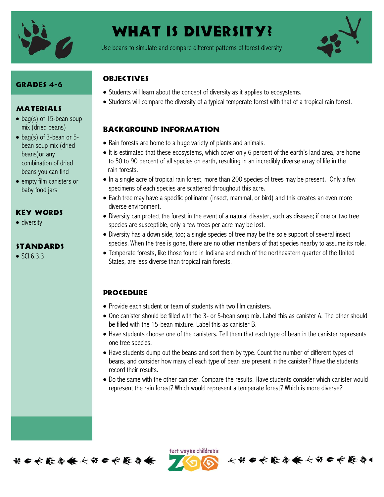

# WHAT IS DIVERSITY?

Use beans to simulate and compare different patterns of forest diversity



#### Grades 4-6

#### MATERIALS

- bag(s) of 15-bean soup mix (dried beans)
- $\bullet$  bag(s) of 3-bean or 5bean soup mix (dried beans)or any combination of dried beans you can find
- empty film canisters or baby food jars

#### Key Words

• diversity

#### **STANDARDS**

 $\bullet$  SCL6.3.3

### **OBJECTIVES**

- Students will learn about the concept of diversity as it applies to ecosystems.
- Students will compare the diversity of a typical temperate forest with that of a tropical rain forest.

# Background information

- Rain forests are home to a huge variety of plants and animals.
- It is estimated that these ecosystems, which cover only 6 percent of the earth's land area, are home to 50 to 90 percent of all species on earth, resulting in an incredibly diverse array of life in the rain forests.
- In a single acre of tropical rain forest, more than 200 species of trees may be present. Only a few specimens of each species are scattered throughout this acre.
- Each tree may have a specific pollinator (insect, mammal, or bird) and this creates an even more diverse environment.
- Diversity can protect the forest in the event of a natural disaster, such as disease; if one or two tree species are susceptible, only a few trees per acre may be lost.
- Diversity has a down side, too; a single species of tree may be the sole support of several insect species. When the tree is gone, there are no other members of that species nearby to assume its role.
- Temperate forests, like those found in Indiana and much of the northeastern quarter of the United States, are less diverse than tropical rain forests.

# **PROCEDURE**

- Provide each student or team of students with two film canisters.
- One canister should be filled with the 3- or 5-bean soup mix. Label this as canister A. The other should be filled with the 15-bean mixture. Label this as canister B.
- Have students choose one of the canisters. Tell them that each type of bean in the canister represents one tree species.
- Have students dump out the beans and sort them by type. Count the number of different types of beans, and consider how many of each type of bean are present in the canister? Have the students record their results.
- Do the same with the other canister. Compare the results. Have students consider which canister would represent the rain forest? Which would represent a temperate forest? Which is more diverse?



ført wayne children's

长节6长能每条长节6长能每